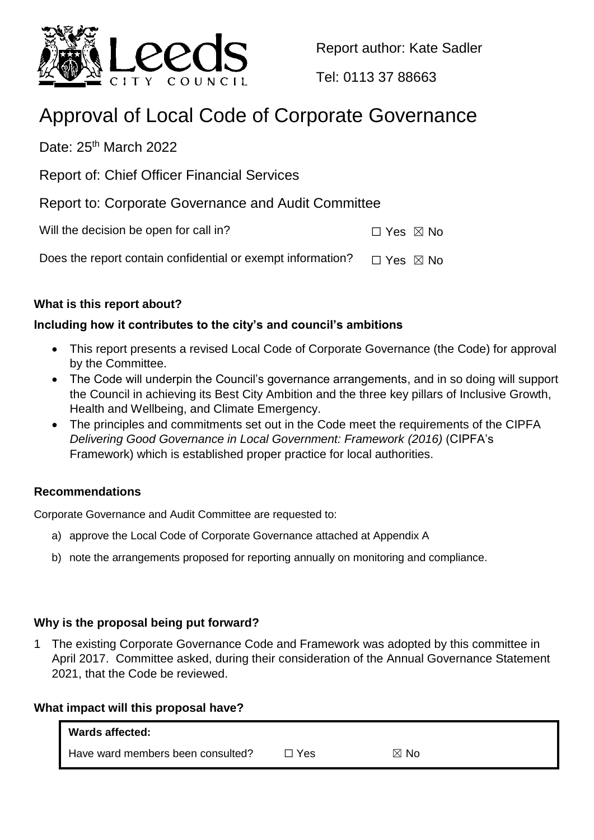

Report author: Kate Sadler

Tel: 0113 37 88663

# Approval of Local Code of Corporate Governance

Date: 25<sup>th</sup> March 2022

Report of: Chief Officer Financial Services

Report to: Corporate Governance and Audit Committee

Will the decision be open for call in?  $\Box$  Yes  $\boxtimes$  No

Does the report contain confidential or exempt information?  $\Box$  Yes  $\boxtimes$  No

# **What is this report about?**

# **Including how it contributes to the city's and council's ambitions**

- This report presents a revised Local Code of Corporate Governance (the Code) for approval by the Committee.
- The Code will underpin the Council's governance arrangements, and in so doing will support the Council in achieving its Best City Ambition and the three key pillars of Inclusive Growth, Health and Wellbeing, and Climate Emergency.
- The principles and commitments set out in the Code meet the requirements of the CIPFA *Delivering Good Governance in Local Government: Framework (2016)* (CIPFA's Framework) which is established proper practice for local authorities.

### **Recommendations**

Corporate Governance and Audit Committee are requested to:

- a) approve the Local Code of Corporate Governance attached at Appendix A
- b) note the arrangements proposed for reporting annually on monitoring and compliance.

### **Why is the proposal being put forward?**

1 The existing Corporate Governance Code and Framework was adopted by this committee in April 2017. Committee asked, during their consideration of the Annual Governance Statement 2021, that the Code be reviewed.

### **What impact will this proposal have?**

| <b>Wards affected:</b>            |       |                |
|-----------------------------------|-------|----------------|
| Have ward members been consulted? | コ Yes | $\boxtimes$ No |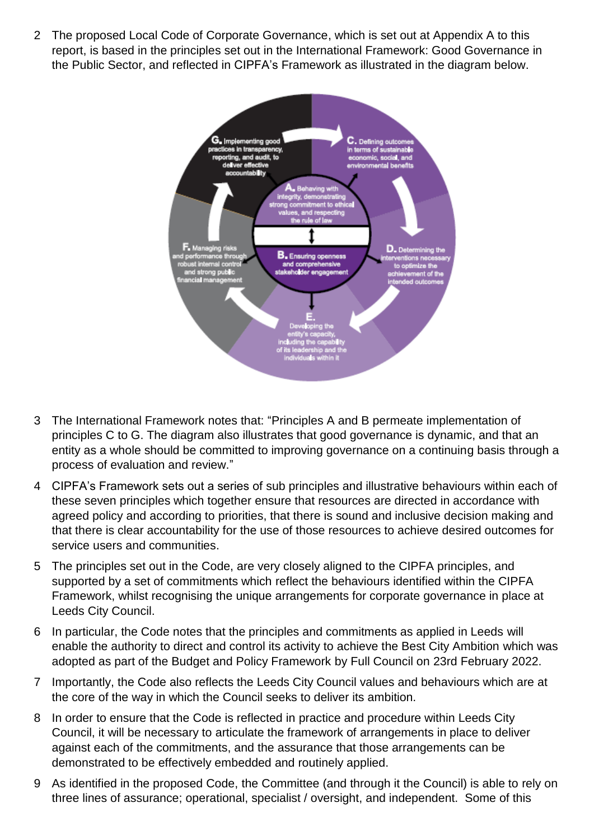2 The proposed Local Code of Corporate Governance, which is set out at Appendix A to this report, is based in the principles set out in the International Framework: Good Governance in the Public Sector, and reflected in CIPFA's Framework as illustrated in the diagram below.



- 3 The International Framework notes that: "Principles A and B permeate implementation of principles C to G. The diagram also illustrates that good governance is dynamic, and that an entity as a whole should be committed to improving governance on a continuing basis through a process of evaluation and review."
- 4 CIPFA's Framework sets out a series of sub principles and illustrative behaviours within each of these seven principles which together ensure that resources are directed in accordance with agreed policy and according to priorities, that there is sound and inclusive decision making and that there is clear accountability for the use of those resources to achieve desired outcomes for service users and communities.
- 5 The principles set out in the Code, are very closely aligned to the CIPFA principles, and supported by a set of commitments which reflect the behaviours identified within the CIPFA Framework, whilst recognising the unique arrangements for corporate governance in place at Leeds City Council.
- 6 In particular, the Code notes that the principles and commitments as applied in Leeds will enable the authority to direct and control its activity to achieve the Best City Ambition which was adopted as part of the Budget and Policy Framework by Full Council on 23rd February 2022.
- 7 Importantly, the Code also reflects the Leeds City Council values and behaviours which are at the core of the way in which the Council seeks to deliver its ambition.
- 8 In order to ensure that the Code is reflected in practice and procedure within Leeds City Council, it will be necessary to articulate the framework of arrangements in place to deliver against each of the commitments, and the assurance that those arrangements can be demonstrated to be effectively embedded and routinely applied.
- 9 As identified in the proposed Code, the Committee (and through it the Council) is able to rely on three lines of assurance; operational, specialist / oversight, and independent. Some of this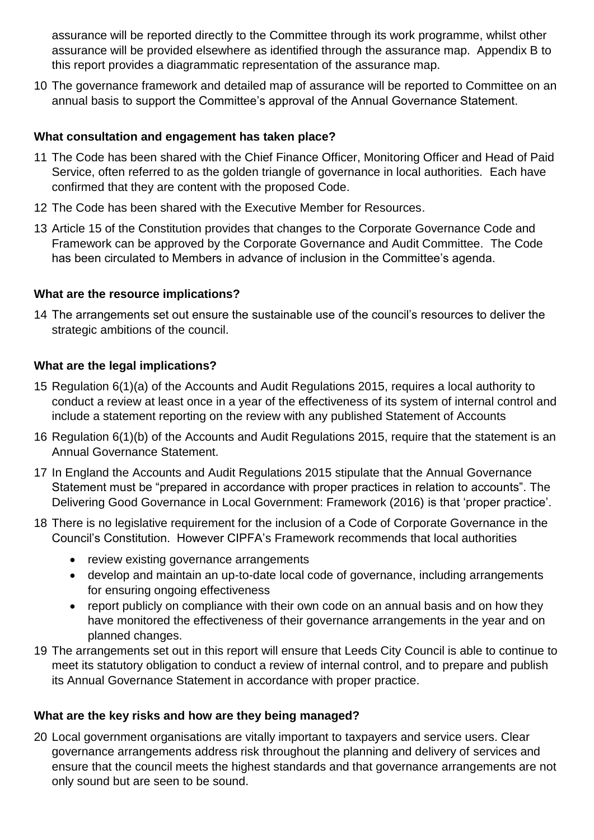assurance will be reported directly to the Committee through its work programme, whilst other assurance will be provided elsewhere as identified through the assurance map. Appendix B to this report provides a diagrammatic representation of the assurance map.

10 The governance framework and detailed map of assurance will be reported to Committee on an annual basis to support the Committee's approval of the Annual Governance Statement.

## **What consultation and engagement has taken place?**

- 11 The Code has been shared with the Chief Finance Officer, Monitoring Officer and Head of Paid Service, often referred to as the golden triangle of governance in local authorities. Each have confirmed that they are content with the proposed Code.
- 12 The Code has been shared with the Executive Member for Resources.
- 13 Article 15 of the Constitution provides that changes to the Corporate Governance Code and Framework can be approved by the Corporate Governance and Audit Committee. The Code has been circulated to Members in advance of inclusion in the Committee's agenda.

# **What are the resource implications?**

14 The arrangements set out ensure the sustainable use of the council's resources to deliver the strategic ambitions of the council.

# **What are the legal implications?**

- 15 Regulation 6(1)(a) of the Accounts and Audit Regulations 2015, requires a local authority to conduct a review at least once in a year of the effectiveness of its system of internal control and include a statement reporting on the review with any published Statement of Accounts
- 16 Regulation 6(1)(b) of the Accounts and Audit Regulations 2015, require that the statement is an Annual Governance Statement.
- 17 In England the Accounts and Audit Regulations 2015 stipulate that the Annual Governance Statement must be "prepared in accordance with proper practices in relation to accounts". The Delivering Good Governance in Local Government: Framework (2016) is that 'proper practice'.
- 18 There is no legislative requirement for the inclusion of a Code of Corporate Governance in the Council's Constitution. However CIPFA's Framework recommends that local authorities
	- review existing governance arrangements
	- develop and maintain an up-to-date local code of governance, including arrangements for ensuring ongoing effectiveness
	- report publicly on compliance with their own code on an annual basis and on how they have monitored the effectiveness of their governance arrangements in the year and on planned changes.
- 19 The arrangements set out in this report will ensure that Leeds City Council is able to continue to meet its statutory obligation to conduct a review of internal control, and to prepare and publish its Annual Governance Statement in accordance with proper practice.

# **What are the key risks and how are they being managed?**

20 Local government organisations are vitally important to taxpayers and service users. Clear governance arrangements address risk throughout the planning and delivery of services and ensure that the council meets the highest standards and that governance arrangements are not only sound but are seen to be sound.